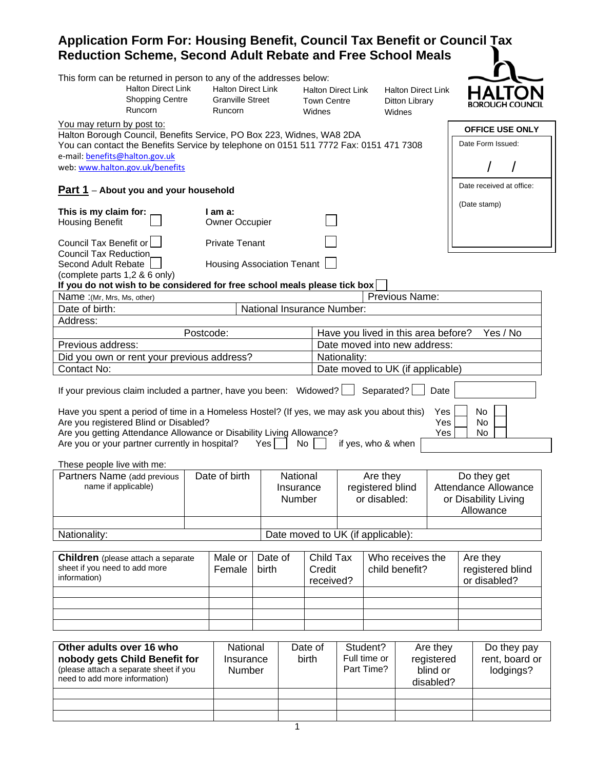## **Application Form For: Housing Benefit, Council Tax Benefit or Council Tax Reduction Scheme, Second Adult Rebate and Free School Meals**

| This form can be returned in person to any of the addresses below:<br><b>Halton Direct Link</b><br><b>Shopping Centre</b><br>Runcorn                                                                                                                                               |           | <b>Halton Direct Link</b><br><b>Granville Street</b><br>Runcorn |         |                                        | <b>Halton Direct Link</b><br><b>Town Centre</b><br>Widnes |              |                                              | <b>Halton Direct Link</b><br>Ditton Library<br>Widnes |                           |                                                                                 |
|------------------------------------------------------------------------------------------------------------------------------------------------------------------------------------------------------------------------------------------------------------------------------------|-----------|-----------------------------------------------------------------|---------|----------------------------------------|-----------------------------------------------------------|--------------|----------------------------------------------|-------------------------------------------------------|---------------------------|---------------------------------------------------------------------------------|
| You may return by post to:                                                                                                                                                                                                                                                         |           |                                                                 |         |                                        |                                                           |              |                                              |                                                       |                           | <b>OFFICE USE ONLY</b>                                                          |
| Halton Borough Council, Benefits Service, PO Box 223, Widnes, WA8 2DA<br>You can contact the Benefits Service by telephone on 0151 511 7772 Fax: 0151 471 7308<br>e-mail: benefits@halton.gov.uk                                                                                   |           |                                                                 |         |                                        |                                                           |              |                                              |                                                       |                           | Date Form Issued:                                                               |
| web: www.halton.gov.uk/benefits                                                                                                                                                                                                                                                    |           |                                                                 |         |                                        |                                                           |              |                                              |                                                       |                           |                                                                                 |
| <b>Part 1</b> – About you and your household                                                                                                                                                                                                                                       |           |                                                                 |         |                                        |                                                           |              |                                              |                                                       |                           | Date received at office:                                                        |
| This is my claim for:                                                                                                                                                                                                                                                              |           | I am a:                                                         |         |                                        |                                                           |              |                                              |                                                       |                           | (Date stamp)                                                                    |
| <b>Housing Benefit</b>                                                                                                                                                                                                                                                             |           | <b>Owner Occupier</b>                                           |         |                                        |                                                           |              |                                              |                                                       |                           |                                                                                 |
| Council Tax Benefit or<br><b>Council Tax Reduction</b>                                                                                                                                                                                                                             |           | <b>Private Tenant</b>                                           |         |                                        |                                                           |              |                                              |                                                       |                           |                                                                                 |
| Second Adult Rebate<br>(complete parts 1,2 & 6 only)                                                                                                                                                                                                                               |           | Housing Association Tenant                                      |         |                                        |                                                           |              |                                              |                                                       |                           |                                                                                 |
| If you do not wish to be considered for free school meals please tick box                                                                                                                                                                                                          |           |                                                                 |         |                                        |                                                           |              |                                              |                                                       |                           |                                                                                 |
| Name: (Mr, Mrs, Ms, other)                                                                                                                                                                                                                                                         |           |                                                                 |         |                                        |                                                           |              |                                              | Previous Name:                                        |                           |                                                                                 |
| Date of birth:                                                                                                                                                                                                                                                                     |           |                                                                 |         | National Insurance Number:             |                                                           |              |                                              |                                                       |                           |                                                                                 |
| Address:                                                                                                                                                                                                                                                                           |           |                                                                 |         |                                        |                                                           |              |                                              |                                                       |                           |                                                                                 |
|                                                                                                                                                                                                                                                                                    | Postcode: |                                                                 |         |                                        |                                                           |              |                                              | Have you lived in this area before?                   |                           | Yes / No                                                                        |
| Previous address:                                                                                                                                                                                                                                                                  |           |                                                                 |         |                                        |                                                           |              |                                              | Date moved into new address:                          |                           |                                                                                 |
| Did you own or rent your previous address?                                                                                                                                                                                                                                         |           |                                                                 |         |                                        |                                                           | Nationality: |                                              |                                                       |                           |                                                                                 |
| Contact No:                                                                                                                                                                                                                                                                        |           |                                                                 |         |                                        |                                                           |              |                                              | Date moved to UK (if applicable)                      |                           |                                                                                 |
| If your previous claim included a partner, have you been: Widowed? [<br>Have you spent a period of time in a Homeless Hostel? (If yes, we may ask you about this)<br>Are you registered Blind or Disabled?<br>Are you getting Attendance Allowance or Disability Living Allowance? |           |                                                                 |         |                                        |                                                           |              | Separated?                                   |                                                       | Date<br>Yes<br>Yes<br>Yes | No<br>No.<br>No.                                                                |
| Are you or your partner currently in hospital?                                                                                                                                                                                                                                     |           |                                                                 | Yes     | No                                     |                                                           |              | if yes, who & when                           |                                                       |                           |                                                                                 |
| These people live with me:                                                                                                                                                                                                                                                         |           |                                                                 |         |                                        |                                                           |              |                                              |                                                       |                           |                                                                                 |
| Partners Name (add previous<br>name if applicable)                                                                                                                                                                                                                                 |           | Date of birth                                                   |         | National<br>Insurance<br><b>Number</b> |                                                           |              | Are they<br>registered blind<br>or disabled: |                                                       |                           | Do they get<br><b>Attendance Allowance</b><br>or Disability Living<br>Allowance |
|                                                                                                                                                                                                                                                                                    |           |                                                                 |         |                                        |                                                           |              |                                              |                                                       |                           |                                                                                 |
| Nationality:                                                                                                                                                                                                                                                                       |           |                                                                 |         |                                        |                                                           |              | Date moved to UK (if applicable):            |                                                       |                           |                                                                                 |
|                                                                                                                                                                                                                                                                                    |           | Male or                                                         | Date of |                                        | Child Tax                                                 |              |                                              | Who receives the                                      |                           |                                                                                 |
| Children (please attach a separate<br>sheet if you need to add more<br>information)                                                                                                                                                                                                |           | Female                                                          | birth   |                                        | Credit<br>received?                                       |              |                                              | child benefit?                                        |                           | Are they<br>registered blind<br>or disabled?                                    |
|                                                                                                                                                                                                                                                                                    |           |                                                                 |         |                                        |                                                           |              |                                              |                                                       |                           |                                                                                 |
|                                                                                                                                                                                                                                                                                    |           |                                                                 |         |                                        |                                                           |              |                                              |                                                       |                           |                                                                                 |
|                                                                                                                                                                                                                                                                                    |           |                                                                 |         |                                        |                                                           |              |                                              |                                                       |                           |                                                                                 |
| Other adults over 16 who<br>nobody gets Child Benefit for<br>(please attach a separate sheet if you<br>need to add more information)                                                                                                                                               |           | National<br>Insurance<br>Number                                 |         | Date of<br>birth                       |                                                           |              | Student?<br>Full time or<br>Part Time?       | Are they<br>registered<br>disabled?                   | blind or                  | Do they pay<br>rent, board or<br>lodgings?                                      |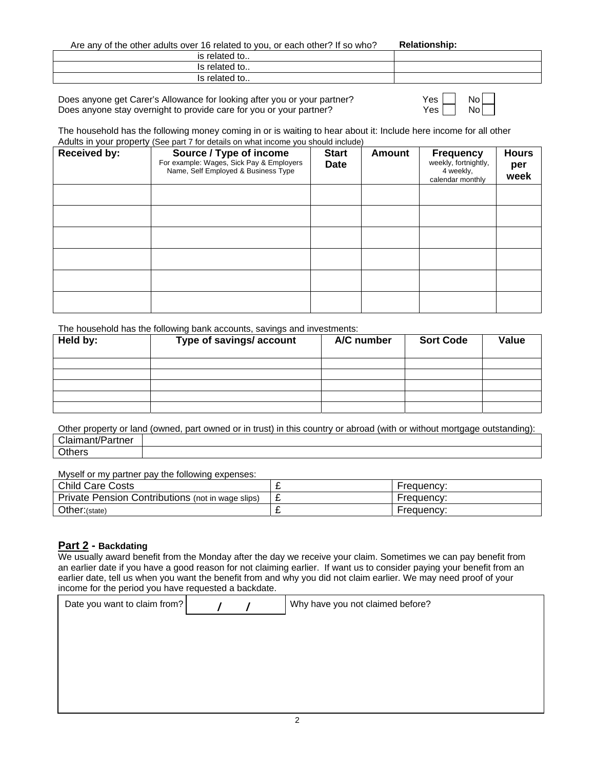Are any of the other adults over 16 related to you, or each other? If so who? **Relationship:**

| The difference official data to relate a to four original children to the control of the control of the control of the control of the control of the control of the control of the control of the control of the control of th |  |
|--------------------------------------------------------------------------------------------------------------------------------------------------------------------------------------------------------------------------------|--|
| is related to                                                                                                                                                                                                                  |  |
| Is related to                                                                                                                                                                                                                  |  |
| Is related to                                                                                                                                                                                                                  |  |

Does anyone get Carer's Allowance for looking after you or your partner? <br>Does anyone stay overnight to provide care for you or your partner? Y Does anyone stay overnight to provide care for you or your partner?

| -  | No   |  |
|----|------|--|
| es | No I |  |

The household has the following money coming in or is waiting to hear about it: Include here income for all other Adults in your property (See part 7 for details on what income you should include)

| <b>Received by:</b> | Source / Type of income<br>For example: Wages, Sick Pay & Employers<br>Name, Self Employed & Business Type | <b>Start</b><br><b>Date</b> | Amount | <b>Frequency</b><br>weekly, fortnightly,<br>4 weekly,<br>calendar monthly | <b>Hours</b><br>per<br>week |
|---------------------|------------------------------------------------------------------------------------------------------------|-----------------------------|--------|---------------------------------------------------------------------------|-----------------------------|
|                     |                                                                                                            |                             |        |                                                                           |                             |
|                     |                                                                                                            |                             |        |                                                                           |                             |
|                     |                                                                                                            |                             |        |                                                                           |                             |
|                     |                                                                                                            |                             |        |                                                                           |                             |
|                     |                                                                                                            |                             |        |                                                                           |                             |
|                     |                                                                                                            |                             |        |                                                                           |                             |

The household has the following bank accounts, savings and investments:

| Held by: | Type of savings/account | A/C number | <b>Sort Code</b> | <b>Value</b> |
|----------|-------------------------|------------|------------------|--------------|
|          |                         |            |                  |              |
|          |                         |            |                  |              |
|          |                         |            |                  |              |
|          |                         |            |                  |              |
|          |                         |            |                  |              |

Other property or land (owned, part owned or in trust) in this country or abroad (with or without mortgage outstanding): Claimant/Partner **Others** 

Myself or my partner pay the following expenses:

| <b>Child Care Costs</b>                           | - | Frequency: |
|---------------------------------------------------|---|------------|
| Private Pension Contributions (not in wage slips) | ~ | Frequency: |
| Other: (state)                                    | - | Frequency: |

## **Part 2 - Backdating**

We usually award benefit from the Monday after the day we receive your claim. Sometimes we can pay benefit from an earlier date if you have a good reason for not claiming earlier. If want us to consider paying your benefit from an earlier date, tell us when you want the benefit from and why you did not claim earlier. We may need proof of your income for the period you have requested a backdate.

| Date you want to claim from? |  | Why have you not claimed before? |
|------------------------------|--|----------------------------------|
|                              |  |                                  |
|                              |  |                                  |
|                              |  |                                  |
|                              |  |                                  |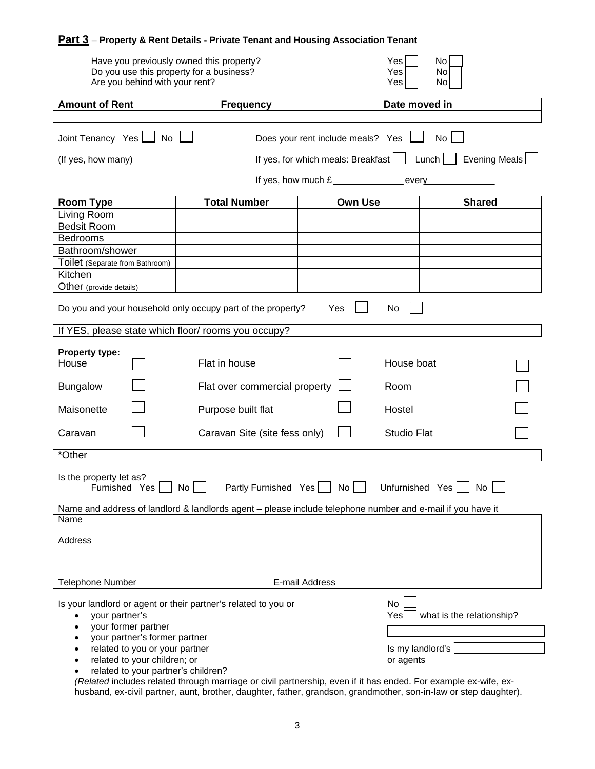## **Part 3** – **Property & Rent Details - Private Tenant and Housing Association Tenant**

| Have you previously owned this property?<br>Do you use this property for a business?<br>Are you behind with your rent?                                                                                                               |                               |                                           | Yes<br>Yes<br>Yes                                  | No<br>No<br>No               |
|--------------------------------------------------------------------------------------------------------------------------------------------------------------------------------------------------------------------------------------|-------------------------------|-------------------------------------------|----------------------------------------------------|------------------------------|
| <b>Amount of Rent</b>                                                                                                                                                                                                                | <b>Frequency</b>              |                                           | Date moved in                                      |                              |
|                                                                                                                                                                                                                                      |                               |                                           |                                                    |                              |
| Joint Tenancy Yes   No                                                                                                                                                                                                               |                               | Does your rent include meals? Yes         |                                                    | No <sub>1</sub>              |
| (If yes, how many)                                                                                                                                                                                                                   |                               | If yes, for which meals: Breakfast $\Box$ |                                                    | $Lunch$    <br>Evening Meals |
|                                                                                                                                                                                                                                      |                               | If yes, how much £                        |                                                    |                              |
| <b>Room Type</b>                                                                                                                                                                                                                     | <b>Total Number</b>           | <b>Own Use</b>                            |                                                    | <b>Shared</b>                |
| Living Room                                                                                                                                                                                                                          |                               |                                           |                                                    |                              |
| <b>Bedsit Room</b>                                                                                                                                                                                                                   |                               |                                           |                                                    |                              |
| <b>Bedrooms</b>                                                                                                                                                                                                                      |                               |                                           |                                                    |                              |
| Bathroom/shower                                                                                                                                                                                                                      |                               |                                           |                                                    |                              |
| Toilet (Separate from Bathroom)                                                                                                                                                                                                      |                               |                                           |                                                    |                              |
| Kitchen                                                                                                                                                                                                                              |                               |                                           |                                                    |                              |
| Other (provide details)                                                                                                                                                                                                              |                               |                                           |                                                    |                              |
| Do you and your household only occupy part of the property?                                                                                                                                                                          |                               | Yes                                       | No                                                 |                              |
| If YES, please state which floor/ rooms you occupy?                                                                                                                                                                                  |                               |                                           |                                                    |                              |
| Property type:<br>House                                                                                                                                                                                                              | Flat in house                 |                                           | House boat                                         |                              |
| <b>Bungalow</b>                                                                                                                                                                                                                      | Flat over commercial property |                                           | Room                                               |                              |
| Maisonette                                                                                                                                                                                                                           | Purpose built flat            |                                           | Hostel                                             |                              |
| Caravan                                                                                                                                                                                                                              | Caravan Site (site fess only) |                                           | <b>Studio Flat</b>                                 |                              |
| *Other                                                                                                                                                                                                                               |                               |                                           |                                                    |                              |
|                                                                                                                                                                                                                                      |                               |                                           |                                                    |                              |
| Is the property let as?<br>Furnished Yes No Partly Furnished Yes No Unfurnished Yes No                                                                                                                                               |                               |                                           |                                                    |                              |
| Name and address of landlord & landlords agent - please include telephone number and e-mail if you have it                                                                                                                           |                               |                                           |                                                    |                              |
| Name                                                                                                                                                                                                                                 |                               |                                           |                                                    |                              |
| Address                                                                                                                                                                                                                              |                               |                                           |                                                    |                              |
| <b>Telephone Number</b>                                                                                                                                                                                                              |                               | E-mail Address                            |                                                    |                              |
| Is your landlord or agent or their partner's related to you or<br>your partner's<br>your former partner<br>$\bullet$<br>your partner's former partner<br>related to you or your partner<br>$\bullet$<br>related to your children; or |                               |                                           | No<br>Yes<br>Is my landlord's $\vert$<br>or agents | what is the relationship?    |
| related to your partner's children?                                                                                                                                                                                                  |                               |                                           |                                                    |                              |

*(Related* includes related through marriage or civil partnership, even if it has ended. For example ex-wife, exhusband, ex-civil partner, aunt, brother, daughter, father, grandson, grandmother, son-in-law or step daughter).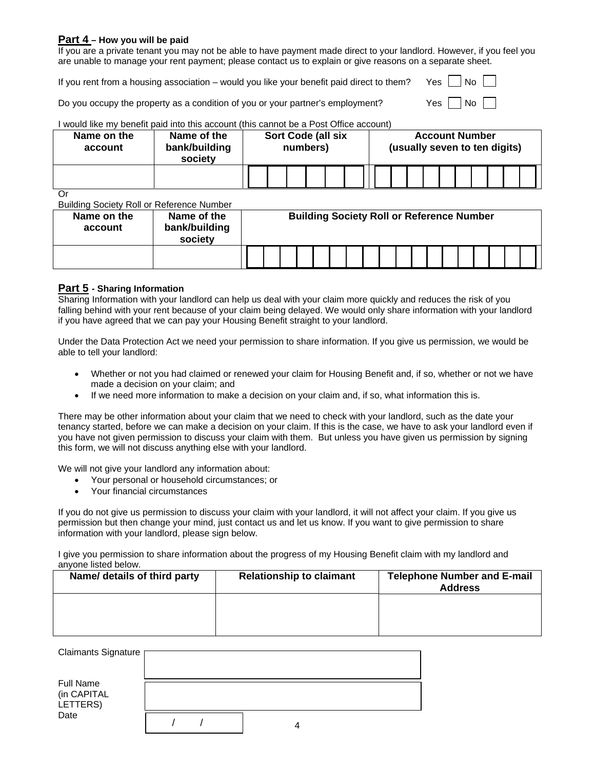## **Part 4 – How you will be paid**

If you are a private tenant you may not be able to have payment made direct to your landlord. However, if you feel you are unable to manage your rent payment; please contact us to explain or give reasons on a separate sheet.

If you rent from a housing association – would you like your benefit paid direct to them? Yes  $\parallel$  No  $\parallel$ 

Do you occupy the property as a condition of you or your partner's employment?  $Yes \cap No$ 

## I would like my benefit paid into this account (this cannot be a Post Office account)

| Name on the<br>account | Name of the<br>bank/building<br>society | <b>Sort Code (all six</b><br>numbers) | <b>Account Number</b><br>(usually seven to ten digits) |
|------------------------|-----------------------------------------|---------------------------------------|--------------------------------------------------------|
|                        |                                         |                                       |                                                        |
| $\sim$                 |                                         |                                       |                                                        |

Or

Building Society Roll or Reference Number

| Name on the<br>account | Name of the<br>bank/building<br>society |  | <b>Building Society Roll or Reference Number</b> |  |  |  |  |  |  |  |
|------------------------|-----------------------------------------|--|--------------------------------------------------|--|--|--|--|--|--|--|
|                        |                                         |  |                                                  |  |  |  |  |  |  |  |

## **Part 5 - Sharing Information**

Sharing Information with your landlord can help us deal with your claim more quickly and reduces the risk of you falling behind with your rent because of your claim being delayed. We would only share information with your landlord if you have agreed that we can pay your Housing Benefit straight to your landlord.

Under the Data Protection Act we need your permission to share information. If you give us permission, we would be able to tell your landlord:

- Whether or not you had claimed or renewed your claim for Housing Benefit and, if so, whether or not we have made a decision on your claim; and
- If we need more information to make a decision on your claim and, if so, what information this is.

There may be other information about your claim that we need to check with your landlord, such as the date your tenancy started, before we can make a decision on your claim. If this is the case, we have to ask your landlord even if you have not given permission to discuss your claim with them. But unless you have given us permission by signing this form, we will not discuss anything else with your landlord.

We will not give your landlord any information about:

- Your personal or household circumstances; or
- Your financial circumstances

If you do not give us permission to discuss your claim with your landlord, it will not affect your claim. If you give us permission but then change your mind, just contact us and let us know. If you want to give permission to share information with your landlord, please sign below.

I give you permission to share information about the progress of my Housing Benefit claim with my landlord and anyone listed below.

| Name/ details of third party | <b>Relationship to claimant</b> | <b>Telephone Number and E-mail</b><br><b>Address</b> |
|------------------------------|---------------------------------|------------------------------------------------------|
|                              |                                 |                                                      |
|                              |                                 |                                                      |

| Claimants Signature                         |  |  |
|---------------------------------------------|--|--|
| <b>Full Name</b><br>(in CAPITAL<br>LETTERS) |  |  |
| Date                                        |  |  |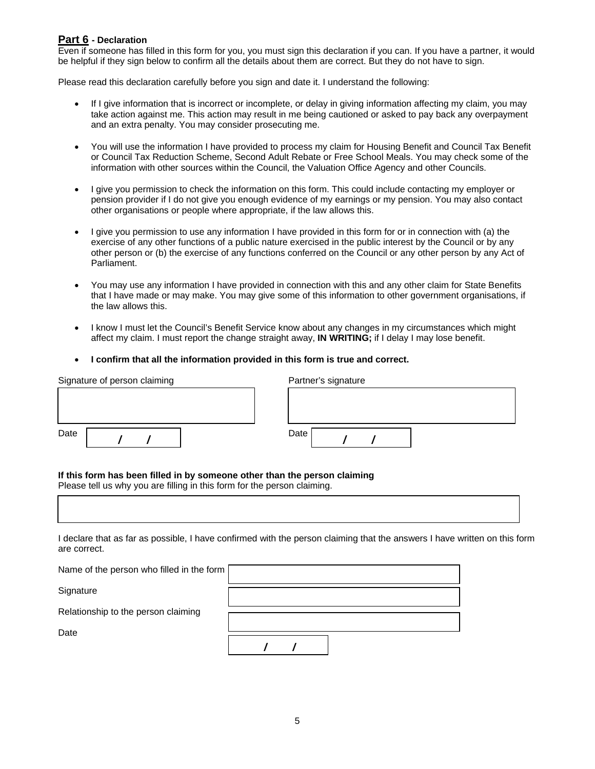## **Part 6 - Declaration**

Even if someone has filled in this form for you, you must sign this declaration if you can. If you have a partner, it would be helpful if they sign below to confirm all the details about them are correct. But they do not have to sign.

Please read this declaration carefully before you sign and date it. I understand the following:

- If I give information that is incorrect or incomplete, or delay in giving information affecting my claim, you may take action against me. This action may result in me being cautioned or asked to pay back any overpayment and an extra penalty. You may consider prosecuting me.
- You will use the information I have provided to process my claim for Housing Benefit and Council Tax Benefit or Council Tax Reduction Scheme, Second Adult Rebate or Free School Meals. You may check some of the information with other sources within the Council, the Valuation Office Agency and other Councils.
- I give you permission to check the information on this form. This could include contacting my employer or pension provider if I do not give you enough evidence of my earnings or my pension. You may also contact other organisations or people where appropriate, if the law allows this.
- I give you permission to use any information I have provided in this form for or in connection with (a) the exercise of any other functions of a public nature exercised in the public interest by the Council or by any other person or (b) the exercise of any functions conferred on the Council or any other person by any Act of Parliament.
- You may use any information I have provided in connection with this and any other claim for State Benefits that I have made or may make. You may give some of this information to other government organisations, if the law allows this.
- I know I must let the Council's Benefit Service know about any changes in my circumstances which might affect my claim. I must report the change straight away, **IN WRITING;** if I delay I may lose benefit.
- **I confirm that all the information provided in this form is true and correct.**

| Signature of person claiming |  |  |  | Partner's signature |
|------------------------------|--|--|--|---------------------|
|                              |  |  |  |                     |
|                              |  |  |  |                     |
| Date                         |  |  |  | Date                |

#### **If this form has been filled in by someone other than the person claiming**

Please tell us why you are filling in this form for the person claiming.

I declare that as far as possible, I have confirmed with the person claiming that the answers I have written on this form are correct.

| Name of the person who filled in the form $\sqrt{ }$ |  |
|------------------------------------------------------|--|
| Signature                                            |  |
| Relationship to the person claiming                  |  |
| Date                                                 |  |
|                                                      |  |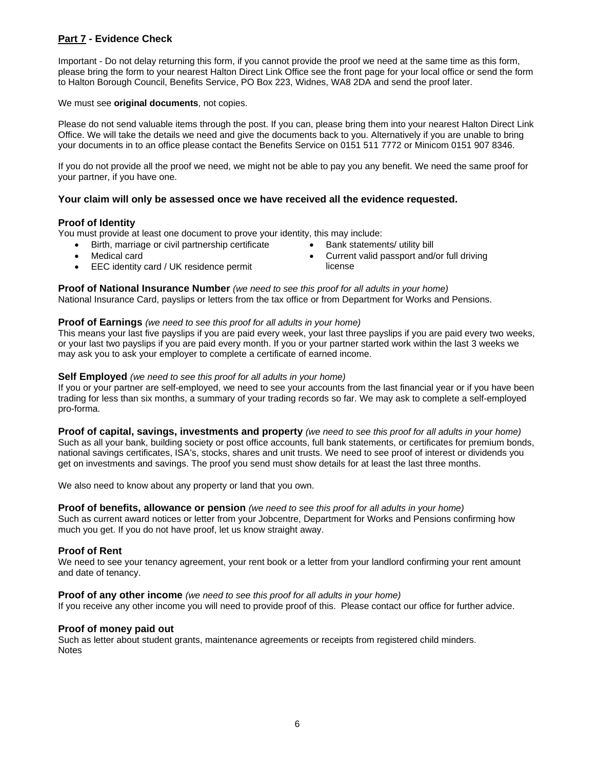## **Part 7 - Evidence Check**

Important - Do not delay returning this form, if you cannot provide the proof we need at the same time as this form, please bring the form to your nearest Halton Direct Link Office see the front page for your local office or send the form to Halton Borough Council, Benefits Service, PO Box 223, Widnes, WA8 2DA and send the proof later.

## We must see **original documents**, not copies.

Please do not send valuable items through the post. If you can, please bring them into your nearest Halton Direct Link Office. We will take the details we need and give the documents back to you. Alternatively if you are unable to bring your documents in to an office please contact the Benefits Service on 0151 511 7772 or Minicom 0151 907 8346.

If you do not provide all the proof we need, we might not be able to pay you any benefit. We need the same proof for your partner, if you have one.

## **Your claim will only be assessed once we have received all the evidence requested.**

## **Proof of Identity**

You must provide at least one document to prove your identity, this may include:

- Birth, marriage or civil partnership certificate
- Bank statements/ utility bill
- Medical card
- EEC identity card / UK residence permit

**Proof of National Insurance Number** *(we need to see this proof for all adults in your home)* National Insurance Card, payslips or letters from the tax office or from Department for Works and Pensions.

### **Proof of Earnings** *(we need to see this proof for all adults in your home)*

This means your last five payslips if you are paid every week, your last three payslips if you are paid every two weeks, or your last two payslips if you are paid every month. If you or your partner started work within the last 3 weeks we may ask you to ask your employer to complete a certificate of earned income.

### **Self Employed** *(we need to see this proof for all adults in your home)*

If you or your partner are self-employed, we need to see your accounts from the last financial year or if you have been trading for less than six months, a summary of your trading records so far. We may ask to complete a self-employed pro-forma.

**Proof of capital, savings, investments and property** *(we need to see this proof for all adults in your home)* Such as all your bank, building society or post office accounts, full bank statements, or certificates for premium bonds, national savings certificates, ISA's, stocks, shares and unit trusts. We need to see proof of interest or dividends you get on investments and savings. The proof you send must show details for at least the last three months.

We also need to know about any property or land that you own.

# **Proof of benefits, allowance or pension** *(we need to see this proof for all adults in your home)*

Such as current award notices or letter from your Jobcentre, Department for Works and Pensions confirming how much you get. If you do not have proof, let us know straight away.

## **Proof of Rent**

We need to see your tenancy agreement, your rent book or a letter from your landlord confirming your rent amount and date of tenancy.

## **Proof of any other income** *(we need to see this proof for all adults in your home)*

If you receive any other income you will need to provide proof of this. Please contact our office for further advice.

### **Proof of money paid out**

Such as letter about student grants, maintenance agreements or receipts from registered child minders. Notes

 Current valid passport and/or full driving license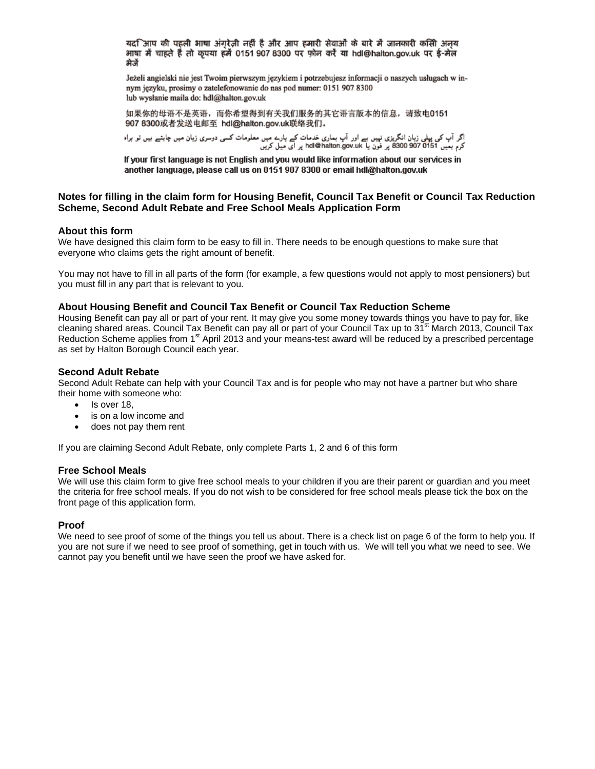यद $\lceil$ आप की पहली भाषा अंगूरेज़ी नहीं है और आप हमारी सेवाओं के बारे में जानकारी कसिी अनुय भाषा में चाहते हैं तो कृपया हमें 0151 907 8300 पर फ़ोन करें या hdl@halton.gov.uk पर ई-मेल भेजें

Jeżeli angielski nie jest Twoim pierwszym językiem i potrzebujesz informacji o naszych usługach w innym jezyku, prosimy o zatelefonowanie do nas pod numer: 0151 907 8300 lub wysłanie maila do: hdl@halton.gov.uk

如果你的母语不是英语, 而你希望得到有关我们服务的其它语言版本的信息, 请致电0151 907 8300或者发送电邮至 hdl@halton.gov.uk联络我们。

اگر آپ کی پہلی زبان انگریزی نہیں ہے اور آپ بماری خدمات کے بارے میں معلومات کسی دوسری زبان میں چاہتے ہیں تو براہ<br>کرم بعیں 8300 907 0151 پر فون یا hdi@halton.gov.uk پر ای میل کریں

If your first language is not English and you would like information about our services in another language, please call us on 0151 907 8300 or email hdl@halton.gov.uk

## **Notes for filling in the claim form for Housing Benefit, Council Tax Benefit or Council Tax Reduction Scheme, Second Adult Rebate and Free School Meals Application Form**

#### **About this form**

We have designed this claim form to be easy to fill in. There needs to be enough questions to make sure that everyone who claims gets the right amount of benefit.

You may not have to fill in all parts of the form (for example, a few questions would not apply to most pensioners) but you must fill in any part that is relevant to you.

#### **About Housing Benefit and Council Tax Benefit or Council Tax Reduction Scheme**

Housing Benefit can pay all or part of your rent. It may give you some money towards things you have to pay for, like cleaning shared areas. Council Tax Benefit can pay all or part of your Council Tax up to 31<sup>st</sup> March 2013, Council Tax Reduction Scheme applies from 1<sup>st</sup> April 2013 and your means-test award will be reduced by a prescribed percentage as set by Halton Borough Council each year.

#### **Second Adult Rebate**

Second Adult Rebate can help with your Council Tax and is for people who may not have a partner but who share their home with someone who:

- Is over 18.
- is on a low income and
- does not pay them rent

If you are claiming Second Adult Rebate, only complete Parts 1, 2 and 6 of this form

#### **Free School Meals**

We will use this claim form to give free school meals to your children if you are their parent or guardian and you meet the criteria for free school meals. If you do not wish to be considered for free school meals please tick the box on the front page of this application form.

#### **Proof**

We need to see proof of some of the things you tell us about. There is a check list on page 6 of the form to help you. If you are not sure if we need to see proof of something, get in touch with us. We will tell you what we need to see. We cannot pay you benefit until we have seen the proof we have asked for.